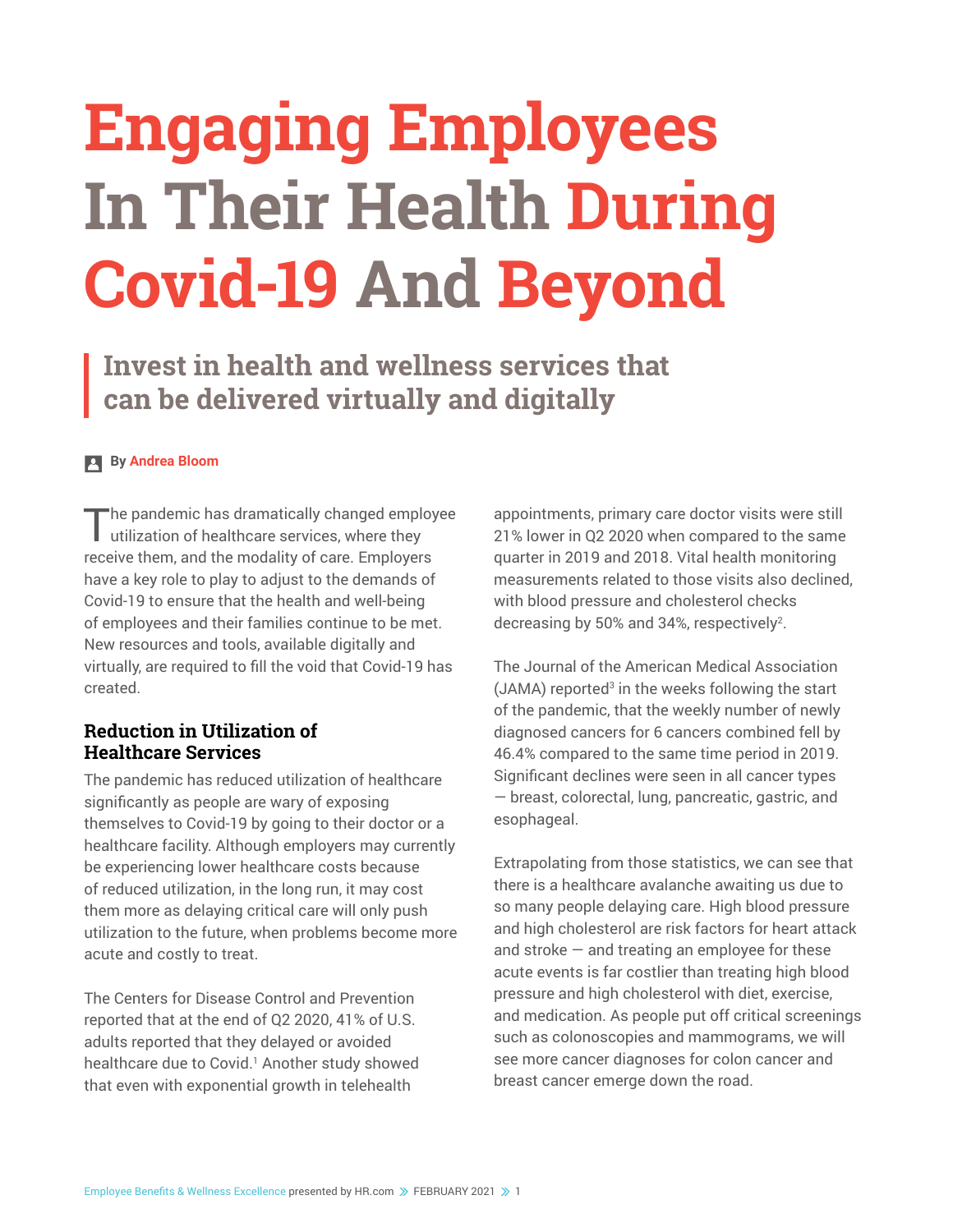# **Engaging Employees In Their Health During Covid-19 And Beyond**

**Invest in health and wellness services that can be delivered virtually and digitally**

#### **By Andrea Bloom**

The pandemic has dramatically changed employee utilization of healthcare services, where they receive them, and the modality of care. Employers have a key role to play to adjust to the demands of Covid-19 to ensure that the health and well-being of employees and their families continue to be met. New resources and tools, available digitally and virtually, are required to fill the void that Covid-19 has created.

#### **Reduction in Utilization of Healthcare Services**

The pandemic has reduced utilization of healthcare significantly as people are wary of exposing themselves to Covid-19 by going to their doctor or a healthcare facility. Although employers may currently be experiencing lower healthcare costs because of reduced utilization, in the long run, it may cost them more as delaying critical care will only push utilization to the future, when problems become more acute and costly to treat.

The Centers for Disease Control and Prevention reported that at the end of Q2 2020, 41% of U.S. adults reported that they delayed or avoided healthcare due to Covid.<sup>1</sup> Another study showed that even with exponential growth in telehealth

appointments, primary care doctor visits were still 21% lower in Q2 2020 when compared to the same quarter in 2019 and 2018. Vital health monitoring measurements related to those visits also declined, with blood pressure and cholesterol checks decreasing by 50% and 34%, respectively<sup>2</sup>.

The Journal of the American Medical Association  $(JAMA)$  reported<sup>3</sup> in the weeks following the start of the pandemic, that the weekly number of newly diagnosed cancers for 6 cancers combined fell by 46.4% compared to the same time period in 2019. Significant declines were seen in all cancer types — breast, colorectal, lung, pancreatic, gastric, and esophageal.

Extrapolating from those statistics, we can see that there is a healthcare avalanche awaiting us due to so many people delaying care. High blood pressure and high cholesterol are risk factors for heart attack and stroke  $-$  and treating an employee for these acute events is far costlier than treating high blood pressure and high cholesterol with diet, exercise, and medication. As people put off critical screenings such as colonoscopies and mammograms, we will see more cancer diagnoses for colon cancer and breast cancer emerge down the road.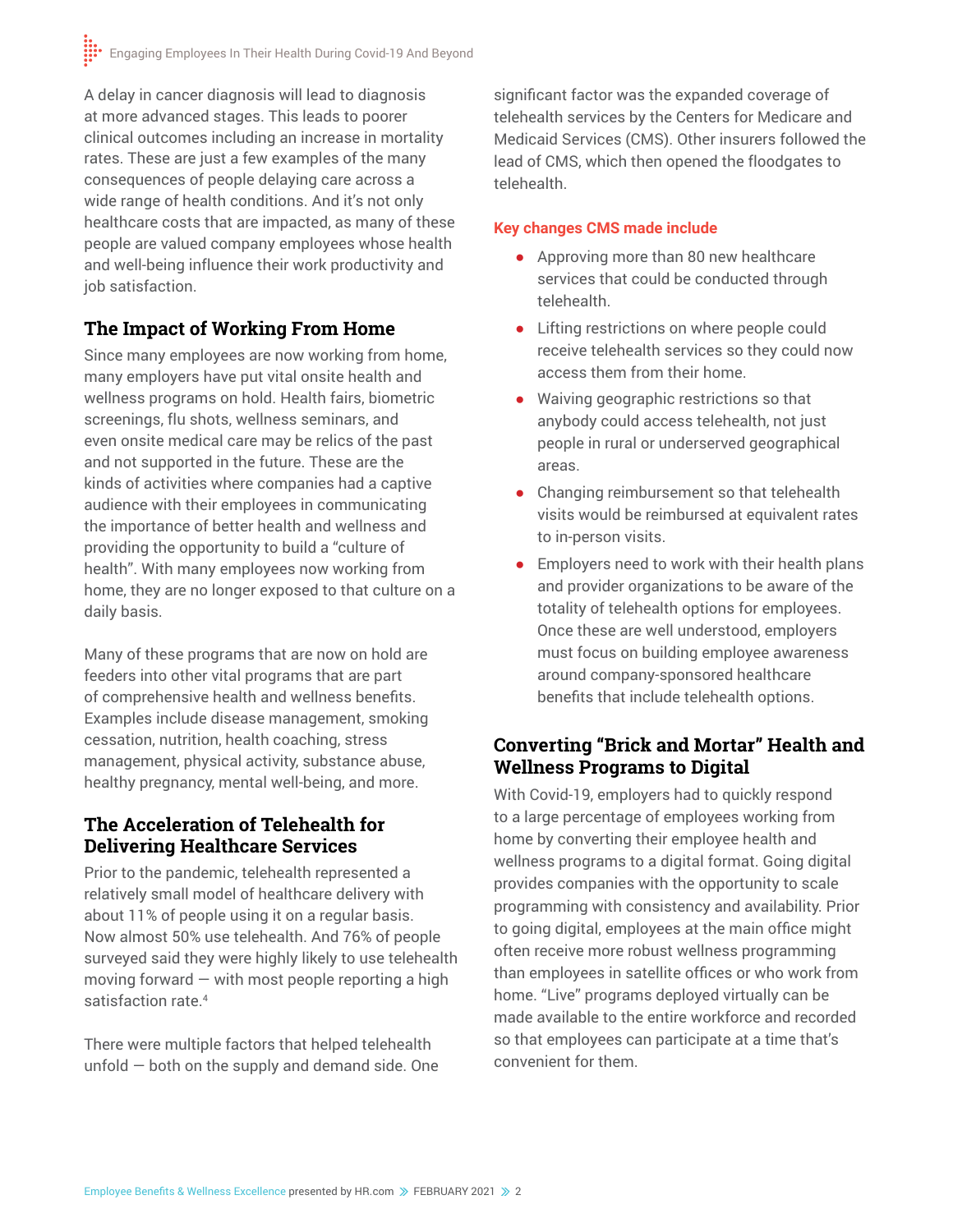A delay in cancer diagnosis will lead to diagnosis at more advanced stages. This leads to poorer clinical outcomes including an increase in mortality rates. These are just a few examples of the many consequences of people delaying care across a wide range of health conditions. And it's not only healthcare costs that are impacted, as many of these people are valued company employees whose health and well-being influence their work productivity and job satisfaction.

# **The Impact of Working From Home**

Since many employees are now working from home, many employers have put vital onsite health and wellness programs on hold. Health fairs, biometric screenings, flu shots, wellness seminars, and even onsite medical care may be relics of the past and not supported in the future. These are the kinds of activities where companies had a captive audience with their employees in communicating the importance of better health and wellness and providing the opportunity to build a "culture of health". With many employees now working from home, they are no longer exposed to that culture on a daily basis.

Many of these programs that are now on hold are feeders into other vital programs that are part of comprehensive health and wellness benefits. Examples include disease management, smoking cessation, nutrition, health coaching, stress management, physical activity, substance abuse, healthy pregnancy, mental well-being, and more.

# **The Acceleration of Telehealth for Delivering Healthcare Services**

Prior to the pandemic, telehealth represented a relatively small model of healthcare delivery with about 11% of people using it on a regular basis. Now almost 50% use telehealth. And 76% of people surveyed said they were highly likely to use telehealth moving forward  $-$  with most people reporting a high satisfaction rate.<sup>4</sup>

There were multiple factors that helped telehealth unfold — both on the supply and demand side. One

significant factor was the expanded coverage of telehealth services by the Centers for Medicare and Medicaid Services (CMS). Other insurers followed the lead of CMS, which then opened the floodgates to telehealth.

### **Key changes CMS made include**

- **●** Approving more than 80 new healthcare services that could be conducted through telehealth.
- **●** Lifting restrictions on where people could receive telehealth services so they could now access them from their home.
- **●** Waiving geographic restrictions so that anybody could access telehealth, not just people in rural or underserved geographical areas.
- **●** Changing reimbursement so that telehealth visits would be reimbursed at equivalent rates to in-person visits.
- **●** Employers need to work with their health plans and provider organizations to be aware of the totality of telehealth options for employees. Once these are well understood, employers must focus on building employee awareness around company-sponsored healthcare benefits that include telehealth options.

# **Converting "Brick and Mortar" Health and Wellness Programs to Digital**

With Covid-19, employers had to quickly respond to a large percentage of employees working from home by converting their employee health and wellness programs to a digital format. Going digital provides companies with the opportunity to scale programming with consistency and availability. Prior to going digital, employees at the main office might often receive more robust wellness programming than employees in satellite offices or who work from home. "Live" programs deployed virtually can be made available to the entire workforce and recorded so that employees can participate at a time that's convenient for them.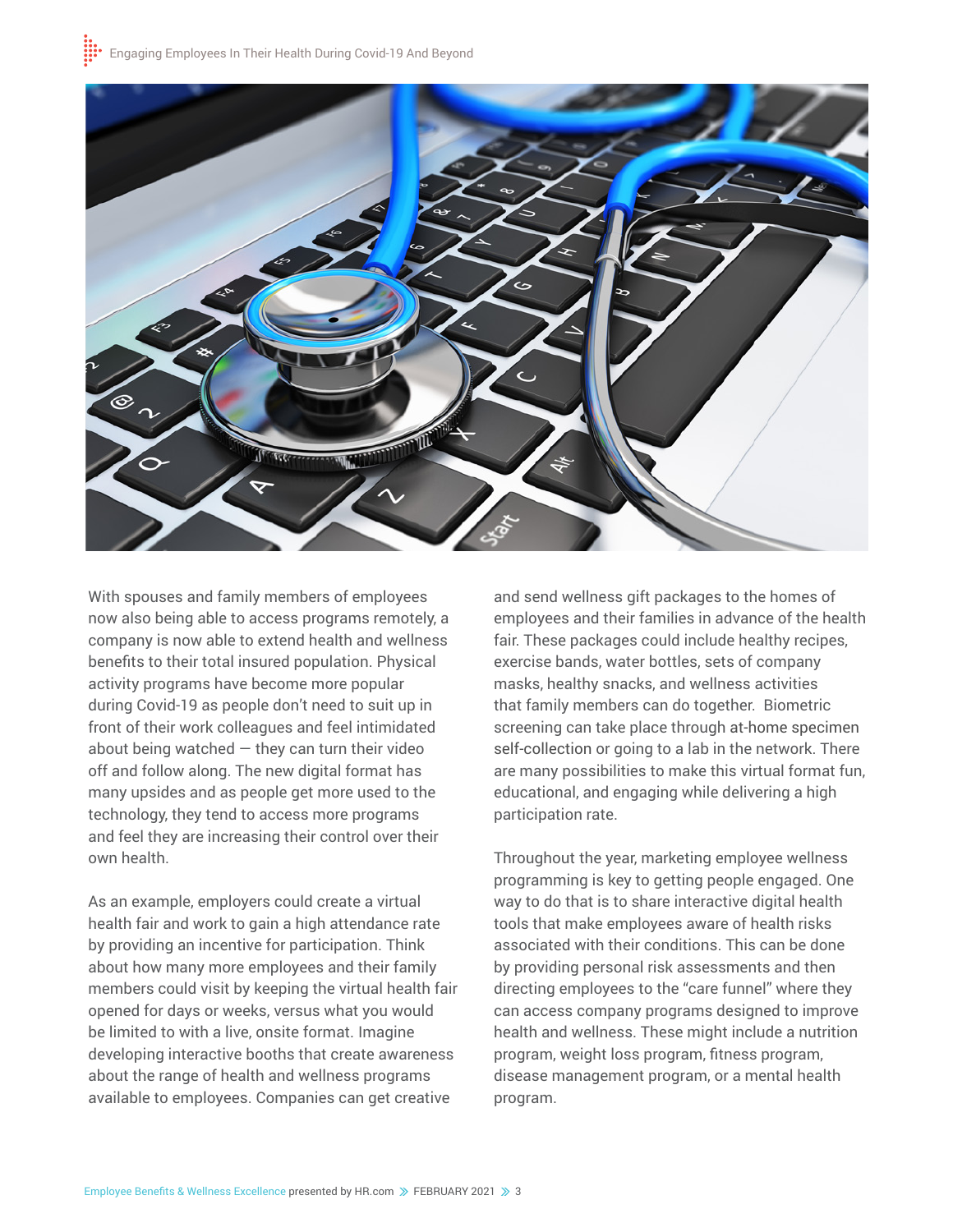

With spouses and family members of employees now also being able to access programs remotely, a company is now able to extend health and wellness benefits to their total insured population. Physical activity programs have become more popular during Covid-19 as people don't need to suit up in front of their work colleagues and feel intimidated about being watched  $-$  they can turn their video off and follow along. The new digital format has many upsides and as people get more used to the technology, they tend to access more programs and feel they are increasing their control over their own health.

As an example, employers could create a virtual health fair and work to gain a high attendance rate by providing an incentive for participation. Think about how many more employees and their family members could visit by keeping the virtual health fair opened for days or weeks, versus what you would be limited to with a live, onsite format. Imagine developing interactive booths that create awareness about the range of health and wellness programs available to employees. Companies can get creative

and send wellness gift packages to the homes of employees and their families in advance of the health fair. These packages could include healthy recipes, exercise bands, water bottles, sets of company masks, healthy snacks, and wellness activities that family members can do together. Biometric screening can take place through at-home specimen self-collection or going to a lab in the network. There are many possibilities to make this virtual format fun, educational, and engaging while delivering a high participation rate.

Throughout the year, marketing employee wellness programming is key to getting people engaged. One way to do that is to share interactive digital health tools that make employees aware of health risks associated with their conditions. This can be done by providing personal risk assessments and then directing employees to the "care funnel" where they can access company programs designed to improve health and wellness. These might include a nutrition program, weight loss program, fitness program, disease management program, or a mental health program.